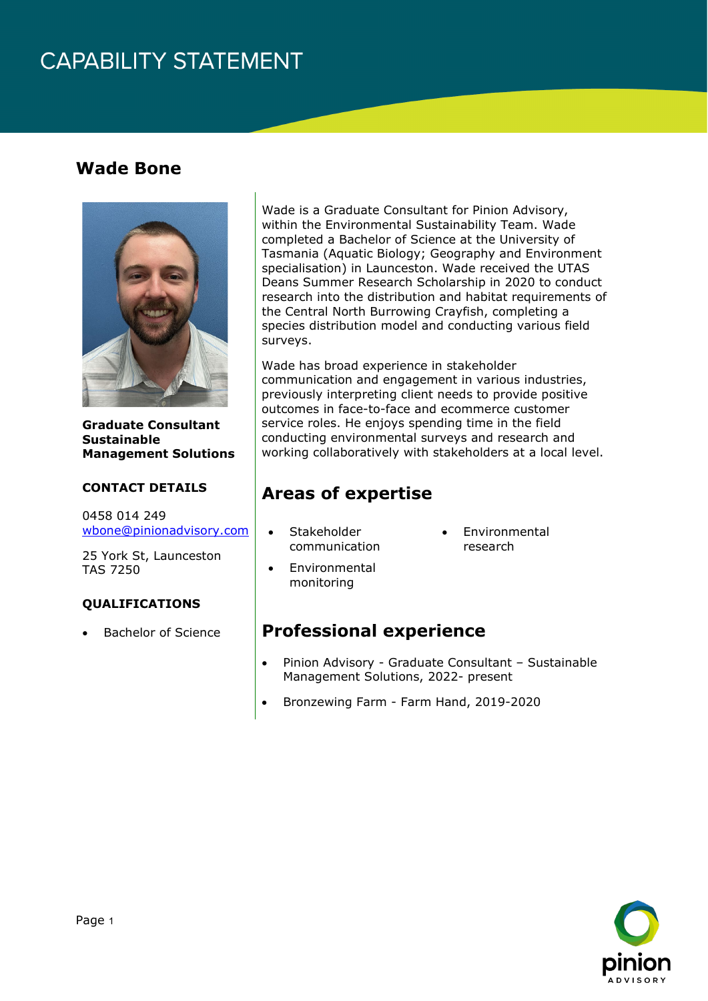## **CAPABILITY STATEMENT**

### **Wade Bone**



**Graduate Consultant Sustainable Management Solutions**

#### **CONTACT DETAILS**

0458 014 249 [wbone@pinionadvisory.com](mailto:wbone@pinionadvisory.com)

25 York St, Launceston TAS 7250

#### **QUALIFICATIONS**

• Bachelor of Science

Wade is a Graduate Consultant for Pinion Advisory, within the Environmental Sustainability Team. Wade completed a Bachelor of Science at the University of Tasmania (Aquatic Biology; Geography and Environment specialisation) in Launceston. Wade received the UTAS Deans Summer Research Scholarship in 2020 to conduct research into the distribution and habitat requirements of the Central North Burrowing Crayfish, completing a species distribution model and conducting various field surveys.

Wade has broad experience in stakeholder communication and engagement in various industries, previously interpreting client needs to provide positive outcomes in face-to-face and ecommerce customer service roles. He enjoys spending time in the field conducting environmental surveys and research and working collaboratively with stakeholders at a local level.

### **Areas of expertise**

- Stakeholder communication
- **Environmental** research
- Environmental monitoring

### **Professional experience**

- Pinion Advisory Graduate Consultant Sustainable Management Solutions, 2022- present
- Bronzewing Farm Farm Hand, 2019-2020